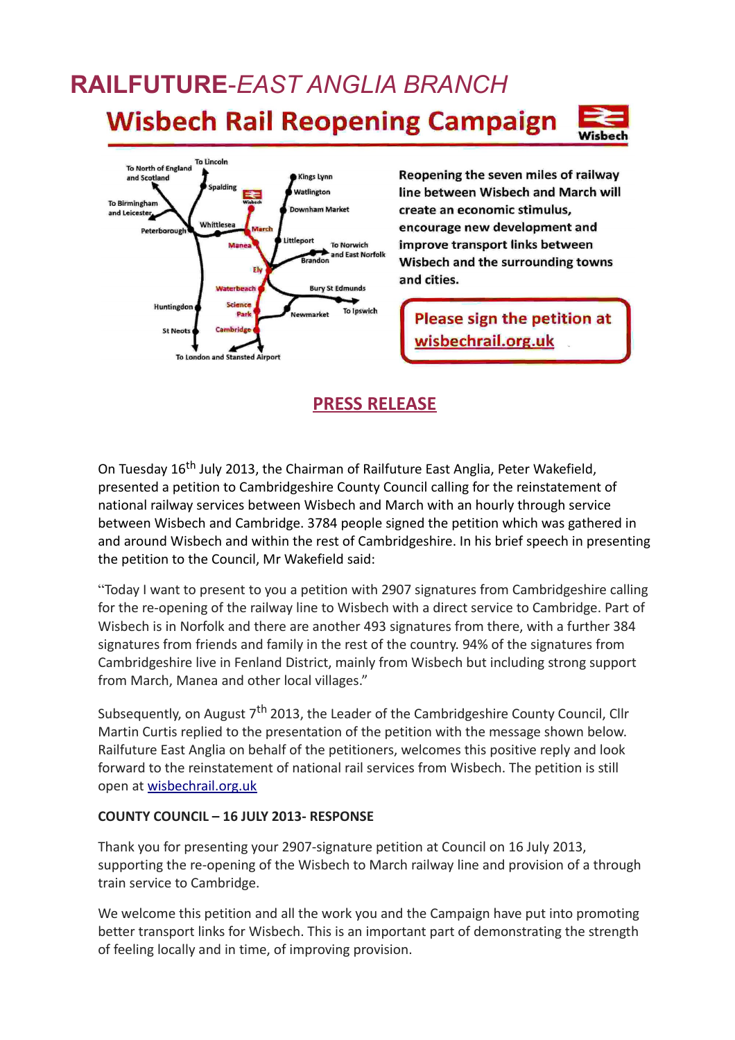## **RAILFUTURE**-*EAST ANGLIA BRANCH* **Wisbech Rail Reopening Campaign**





Reopening the seven miles of railway line between Wisbech and March will create an economic stimulus, encourage new development and improve transport links between Wisbech and the surrounding towns and cities.

Please sign the petition at wisbechrail.org.uk

## **PRESS RELEASE**

On Tuesday 16<sup>th</sup> July 2013, the Chairman of Railfuture East Anglia, Peter Wakefield, presented a petition to Cambridgeshire County Council calling for the reinstatement of national railway services between Wisbech and March with an hourly through service between Wisbech and Cambridge. 3784 people signed the petition which was gathered in and around Wisbech and within the rest of Cambridgeshire. In his brief speech in presenting the petition to the Council, Mr Wakefield said:

"Today I want to present to you a petition with 2907 signatures from Cambridgeshire calling for the re-opening of the railway line to Wisbech with a direct service to Cambridge. Part of Wisbech is in Norfolk and there are another 493 signatures from there, with a further 384 signatures from friends and family in the rest of the country. 94% of the signatures from Cambridgeshire live in Fenland District, mainly from Wisbech but including strong support from March, Manea and other local villages."

Subsequently, on August 7<sup>th</sup> 2013, the Leader of the Cambridgeshire County Council, Cllr Martin Curtis replied to the presentation of the petition with the message shown below. Railfuture East Anglia on behalf of the petitioners, welcomes this positive reply and look forward to the reinstatement of national rail services from Wisbech. The petition is still open at [wisbechrail.org.uk](http://wisbechrail.org.uk/)

## **COUNTY COUNCIL – 16 JULY 2013- RESPONSE**

Thank you for presenting your 2907-signature petition at Council on 16 July 2013, supporting the re-opening of the Wisbech to March railway line and provision of a through train service to Cambridge.

We welcome this petition and all the work you and the Campaign have put into promoting better transport links for Wisbech. This is an important part of demonstrating the strength of feeling locally and in time, of improving provision.